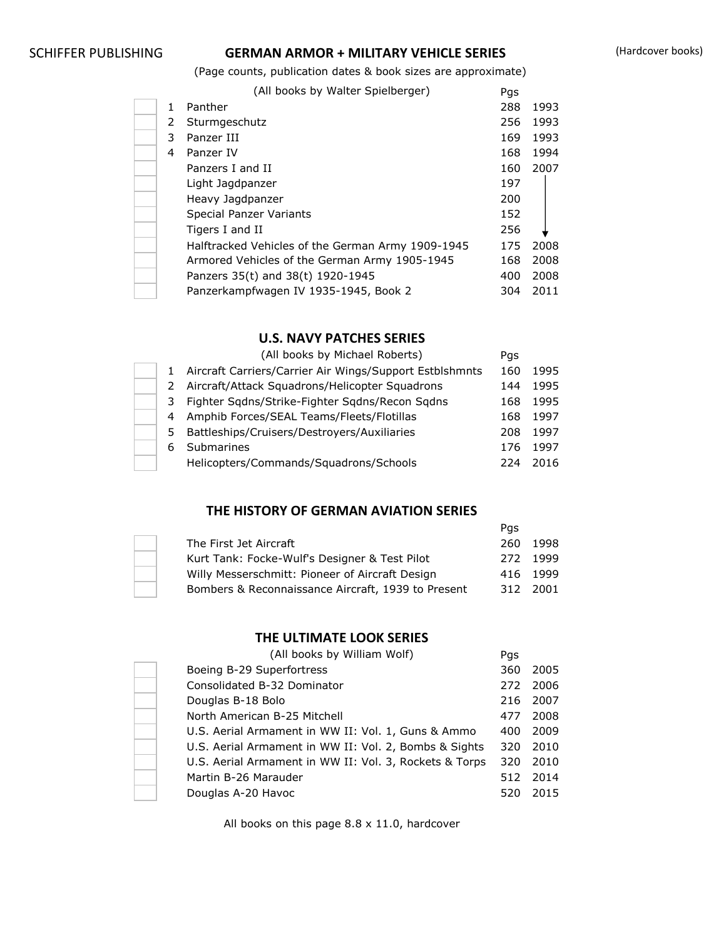## SCHIFFER PUBLISHING **GERMAN ARMOR + MILITARY VEHICLE SERIES** (Hardcover books)

(Page counts, publication dates & book sizes are approximate)

(All books by Walter Spielberger) Pgs

|    | (All books by waitch opicibilityci)               | rys |      |
|----|---------------------------------------------------|-----|------|
| 1. | Panther                                           | 288 | 1993 |
| 2  | Sturmgeschutz                                     | 256 | 1993 |
| 3  | Panzer III                                        | 169 | 1993 |
| 4  | Panzer IV                                         | 168 | 1994 |
|    | Panzers I and II                                  | 160 | 2007 |
|    | Light Jagdpanzer                                  | 197 |      |
|    | Heavy Jagdpanzer                                  | 200 |      |
|    | Special Panzer Variants                           | 152 |      |
|    | Tigers I and II                                   | 256 |      |
|    | Halftracked Vehicles of the German Army 1909-1945 | 175 | 2008 |
|    | Armored Vehicles of the German Army 1905-1945     | 168 | 2008 |
|    | Panzers 35(t) and 38(t) 1920-1945                 | 400 | 2008 |
|    | Panzerkampfwagen IV 1935-1945, Book 2             | 304 | 2011 |

#### **U.S. NAVY PATCHES SERIES**

|              | (All books by Michael Roberts)                          | Pgs |      |
|--------------|---------------------------------------------------------|-----|------|
| $\mathbf{1}$ | Aircraft Carriers/Carrier Air Wings/Support Estblshmnts | 160 | 1995 |
| 2            | Aircraft/Attack Squadrons/Helicopter Squadrons          | 144 | 1995 |
| 3            | Fighter Sqdns/Strike-Fighter Sqdns/Recon Sqdns          | 168 | 1995 |
|              | 4 Amphib Forces/SEAL Teams/Fleets/Flotillas             | 168 | 1997 |
| 5.           | Battleships/Cruisers/Destroyers/Auxiliaries             | 208 | 1997 |
| 6            | Submarines                                              | 176 | 1997 |
|              | Helicopters/Commands/Squadrons/Schools                  | 224 | 2016 |

#### **THE HISTORY OF GERMAN AVIATION SERIES**

|                                                    | Pas |          |
|----------------------------------------------------|-----|----------|
| The First Jet Aircraft                             |     | 260 1998 |
| Kurt Tank: Focke-Wulf's Designer & Test Pilot      |     | 272 1999 |
| Willy Messerschmitt: Pioneer of Aircraft Design    |     | 416 1999 |
| Bombers & Reconnaissance Aircraft, 1939 to Present | 312 | - 2001   |

## **THE ULTIMATE LOOK SERIES**

| (All books by William Wolf)                            | Pgs |      |
|--------------------------------------------------------|-----|------|
| Boeing B-29 Superfortress                              | 360 | 2005 |
| Consolidated B-32 Dominator                            | 272 | 2006 |
| Douglas B-18 Bolo                                      | 216 | 2007 |
| North American B-25 Mitchell                           | 477 | 2008 |
| U.S. Aerial Armament in WW II: Vol. 1, Guns & Ammo     | 400 | 2009 |
| U.S. Aerial Armament in WW II: Vol. 2, Bombs & Sights  | 320 | 2010 |
| U.S. Aerial Armament in WW II: Vol. 3, Rockets & Torps | 320 | 2010 |
| Martin B-26 Marauder                                   | 512 | 2014 |
| Douglas A-20 Havoc                                     | 520 | 2015 |

All books on this page 8.8 x 11.0, hardcover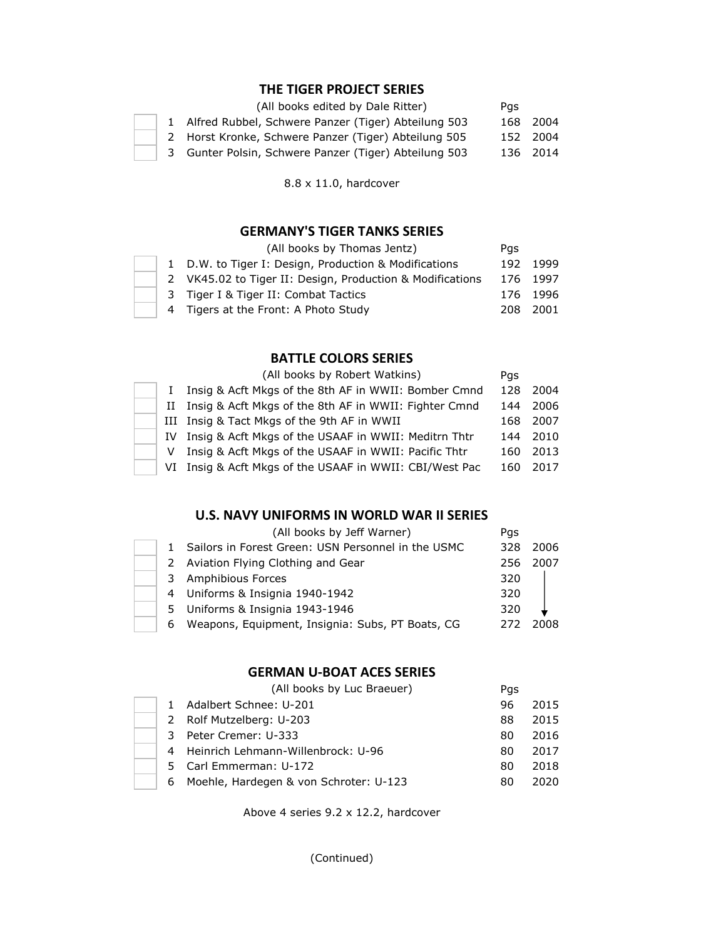### **THE TIGER PROJECT SERIES**

|  | (All books edited by Dale Ritter)                     | Pas |          |
|--|-------------------------------------------------------|-----|----------|
|  | 1 Alfred Rubbel, Schwere Panzer (Tiger) Abteilung 503 |     | 168 2004 |
|  | 2 Horst Kronke, Schwere Panzer (Tiger) Abteilung 505  |     | 152 2004 |
|  | 3 Gunter Polsin, Schwere Panzer (Tiger) Abteilung 503 |     | 136 2014 |

8.8 x 11.0, hardcover

#### **GERMANY'S TIGER TANKS SERIES**

|  | (All books by Thomas Jentz)                               | Pas |          |
|--|-----------------------------------------------------------|-----|----------|
|  | 1 D.W. to Tiger I: Design, Production & Modifications     |     | 192 1999 |
|  | 2 VK45.02 to Tiger II: Design, Production & Modifications |     | 176 1997 |
|  | 3 Tiger I & Tiger II: Combat Tactics                      |     | 176 1996 |
|  | 4 Tigers at the Front: A Photo Study                      |     | 208 2001 |

### **BATTLE COLORS SERIES**

|   | (All books by Robert Watkins)                            | Pgs  |      |
|---|----------------------------------------------------------|------|------|
|   | Insig & Acft Mkgs of the 8th AF in WWII: Bomber Cmnd     | 128  | 2004 |
|   | II Insig & Acft Mkgs of the 8th AF in WWII: Fighter Cmnd | 144  | 2006 |
|   | III Insig & Tact Mkgs of the 9th AF in WWII              | 168. | 2007 |
|   | IV Insig & Acft Mkgs of the USAAF in WWII: Meditrn Thtr  | 144  | 2010 |
| v | Insig & Acft Mkgs of the USAAF in WWII: Pacific Thtr     | 160  | 2013 |
|   | VI Insig & Acft Mkgs of the USAAF in WWII: CBI/West Pac  | 160  | 2017 |

#### **U.S. NAVY UNIFORMS IN WORLD WAR II SERIES**

|   | (All books by Jeff Warner)                         | Pgs  |      |
|---|----------------------------------------------------|------|------|
|   | Sailors in Forest Green: USN Personnel in the USMC | 328  | 2006 |
|   | 2 Aviation Flying Clothing and Gear                | 256. | 2007 |
| 3 | Amphibious Forces                                  | 320  |      |
|   | 4 Uniforms & Insignia 1940-1942                    | 320  |      |
|   | 5 Uniforms & Insignia 1943-1946                    | 320  |      |
| 6 | Weapons, Equipment, Insignia: Subs, PT Boats, CG   | 272  | 2008 |

## **GERMAN U-BOAT ACES SERIES**

|              | (All books by Luc Braeuer)             | Pgs |      |
|--------------|----------------------------------------|-----|------|
| $\mathbf{1}$ | Adalbert Schnee: U-201                 | 96  | 2015 |
|              | 2 Rolf Mutzelberg: U-203               | 88  | 2015 |
| 3            | Peter Cremer: U-333                    | 80  | 2016 |
|              | 4 Heinrich Lehmann-Willenbrock: U-96   | 80  | 2017 |
|              | 5 Carl Emmerman: U-172                 | 80  | 2018 |
| 6            | Moehle, Hardegen & von Schroter: U-123 | 80  | 2020 |

Above 4 series 9.2 x 12.2, hardcover

(Continued)